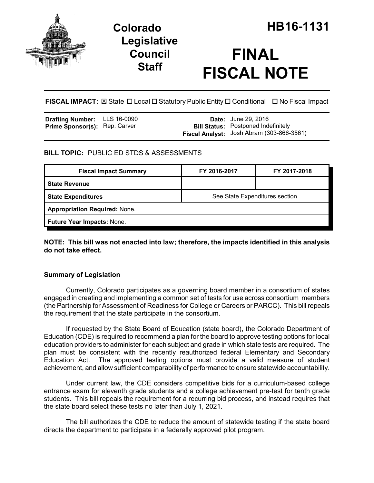

## **Legislative Council Staff**

# **FINAL FISCAL NOTE**

**FISCAL IMPACT:** ⊠ State □ Local □ Statutory Public Entity □ Conditional □ No Fiscal Impact

| <b>Drafting Number:</b>              | LLS 16-0090 |
|--------------------------------------|-------------|
| <b>Prime Sponsor(s): Rep. Carver</b> |             |

**Date:** June 29, 2016 **Bill Status:** Postponed Indefinitely **Fiscal Analyst:** Josh Abram (303-866-3561)

## **BILL TOPIC:** PUBLIC ED STDS & ASSESSMENTS

| See State Expenditures section.      |  |  |
|--------------------------------------|--|--|
| <b>Appropriation Required: None.</b> |  |  |
|                                      |  |  |
|                                      |  |  |

**NOTE: This bill was not enacted into law; therefore, the impacts identified in this analysis do not take effect.**

## **Summary of Legislation**

Currently, Colorado participates as a governing board member in a consortium of states engaged in creating and implementing a common set of tests for use across consortium members (the Partnership for Assessment of Readiness for College or Careers or PARCC). This bill repeals the requirement that the state participate in the consortium.

If requested by the State Board of Education (state board), the Colorado Department of Education (CDE) is required to recommend a plan for the board to approve testing options for local education providers to administer for each subject and grade in which state tests are required. The plan must be consistent with the recently reauthorized federal Elementary and Secondary Education Act. The approved testing options must provide a valid measure of student achievement, and allow sufficient comparability of performance to ensure statewide accountability.

Under current law, the CDE considers competitive bids for a curriculum-based college entrance exam for eleventh grade students and a college achievement pre-test for tenth grade students. This bill repeals the requirement for a recurring bid process, and instead requires that the state board select these tests no later than July 1, 2021.

The bill authorizes the CDE to reduce the amount of statewide testing if the state board directs the department to participate in a federally approved pilot program.